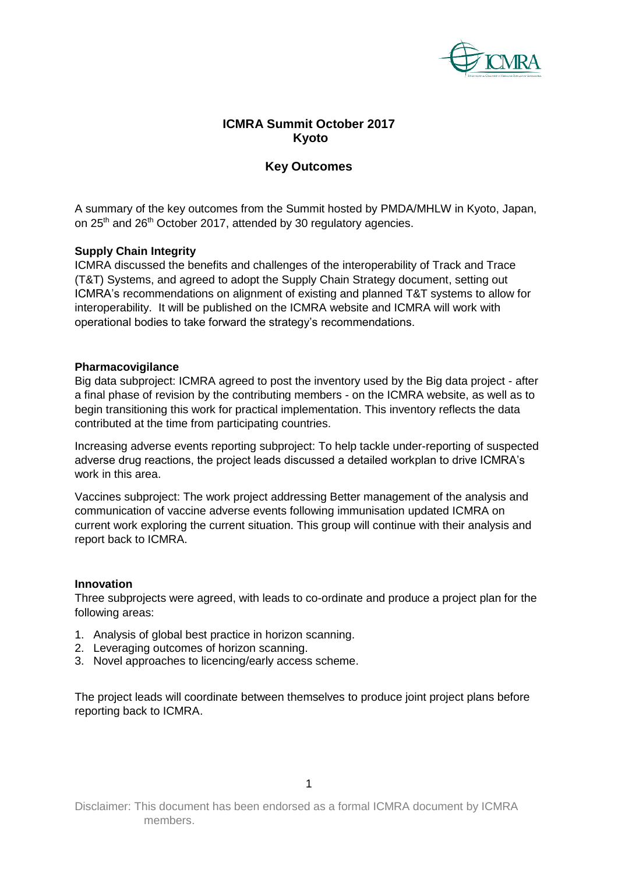

# **ICMRA Summit October 2017 Kyoto**

# **Key Outcomes**

A summary of the key outcomes from the Summit hosted by PMDA/MHLW in Kyoto, Japan, on 25<sup>th</sup> and 26<sup>th</sup> October 2017, attended by 30 regulatory agencies.

# **Supply Chain Integrity**

ICMRA discussed the benefits and challenges of the interoperability of Track and Trace (T&T) Systems, and agreed to adopt the Supply Chain Strategy document, setting out ICMRA's recommendations on alignment of existing and planned T&T systems to allow for interoperability. It will be published on the ICMRA website and ICMRA will work with operational bodies to take forward the strategy's recommendations.

## **Pharmacovigilance**

Big data subproject: ICMRA agreed to post the inventory used by the Big data project - after a final phase of revision by the contributing members - on the ICMRA website, as well as to begin transitioning this work for practical implementation. This inventory reflects the data contributed at the time from participating countries.

Increasing adverse events reporting subproject: To help tackle under-reporting of suspected adverse drug reactions, the project leads discussed a detailed workplan to drive ICMRA's work in this area.

Vaccines subproject: The work project addressing Better management of the analysis and communication of vaccine adverse events following immunisation updated ICMRA on current work exploring the current situation. This group will continue with their analysis and report back to ICMRA.

## **Innovation**

Three subprojects were agreed, with leads to co-ordinate and produce a project plan for the following areas:

- 1. Analysis of global best practice in horizon scanning.
- 2. Leveraging outcomes of horizon scanning.
- 3. Novel approaches to licencing/early access scheme.

The project leads will coordinate between themselves to produce joint project plans before reporting back to ICMRA.